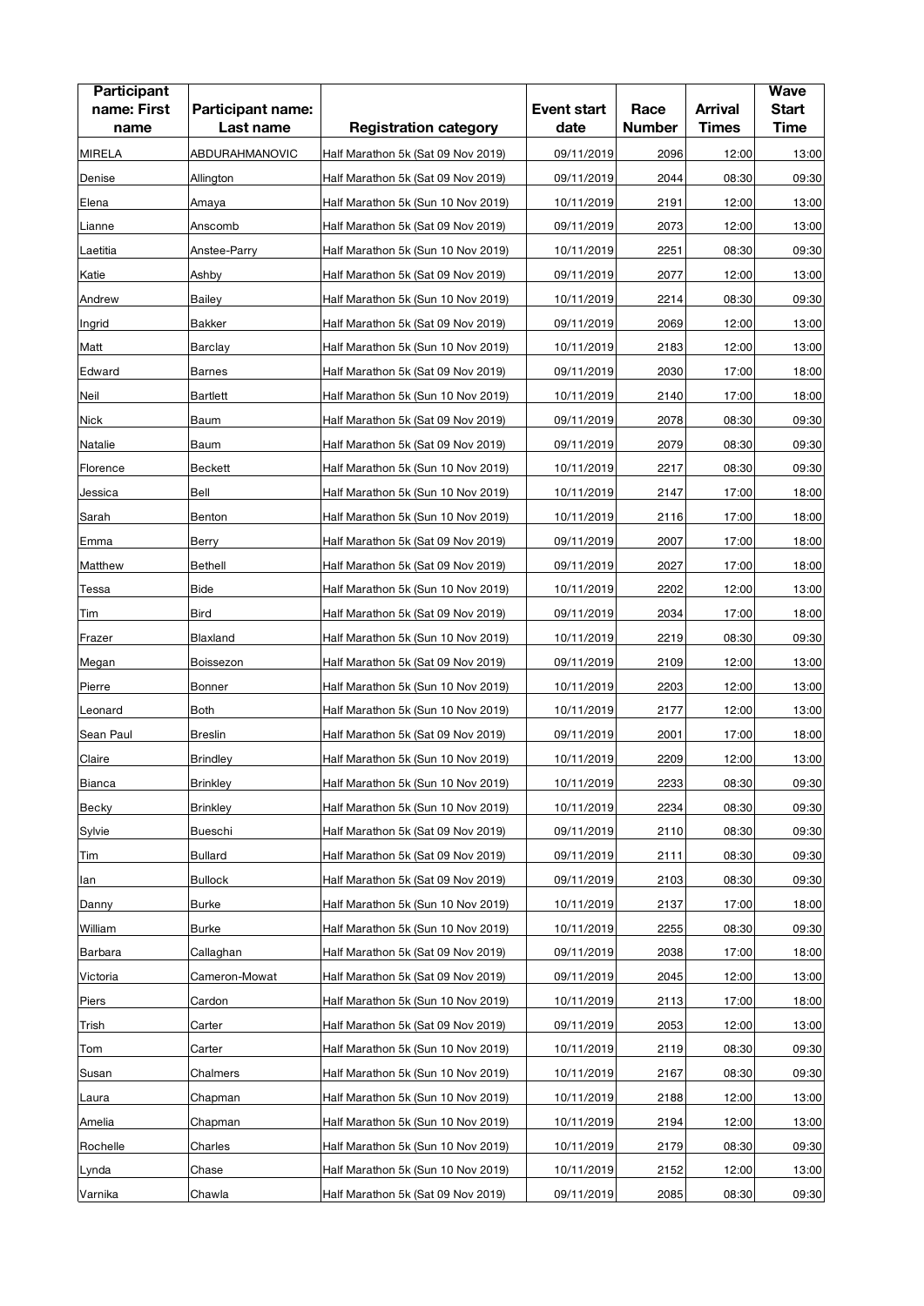| <b>Participant</b><br>name: First<br>name | Participant name:<br>Last name | <b>Registration category</b>       | <b>Event start</b><br>date | Race<br><b>Number</b> | <b>Arrival</b><br><b>Times</b> | <b>Wave</b><br><b>Start</b><br><b>Time</b> |
|-------------------------------------------|--------------------------------|------------------------------------|----------------------------|-----------------------|--------------------------------|--------------------------------------------|
| <b>MIRELA</b>                             | ABDURAHMANOVIC                 | Half Marathon 5k (Sat 09 Nov 2019) | 09/11/2019                 | 2096                  | 12:00                          | 13:00                                      |
| Denise                                    | Allington                      | Half Marathon 5k (Sat 09 Nov 2019) | 09/11/2019                 | 2044                  | 08:30                          | 09:30                                      |
| Elena                                     | Amaya                          | Half Marathon 5k (Sun 10 Nov 2019) | 10/11/2019                 | 2191                  | 12:00                          | 13:00                                      |
| Lianne                                    | Anscomb                        | Half Marathon 5k (Sat 09 Nov 2019) | 09/11/2019                 | 2073                  | 12:00                          | 13:00                                      |
| Laetitia                                  | Anstee-Parry                   | Half Marathon 5k (Sun 10 Nov 2019) | 10/11/2019                 | 2251                  | 08:30                          | 09:30                                      |
| Katie                                     | Ashby                          | Half Marathon 5k (Sat 09 Nov 2019) | 09/11/2019                 | 2077                  | 12:00                          | 13:00                                      |
| Andrew                                    | Bailey                         | Half Marathon 5k (Sun 10 Nov 2019) | 10/11/2019                 | 2214                  | 08:30                          | 09:30                                      |
| Ingrid                                    | <b>Bakker</b>                  | Half Marathon 5k (Sat 09 Nov 2019) | 09/11/2019                 | 2069                  | 12:00                          | 13:00                                      |
| Matt                                      | Barclay                        | Half Marathon 5k (Sun 10 Nov 2019) | 10/11/2019                 | 2183                  | 12:00                          | 13:00                                      |
| Edward                                    | <b>Barnes</b>                  | Half Marathon 5k (Sat 09 Nov 2019) | 09/11/2019                 | 2030                  | 17:00                          | 18:00                                      |
| Neil                                      | Bartlett                       | Half Marathon 5k (Sun 10 Nov 2019) | 10/11/2019                 | 2140                  | 17:00                          | 18:00                                      |
| <b>Nick</b>                               | Baum                           | Half Marathon 5k (Sat 09 Nov 2019) | 09/11/2019                 | 2078                  | 08:30                          | 09:30                                      |
| Natalie                                   | Baum                           | Half Marathon 5k (Sat 09 Nov 2019) | 09/11/2019                 | 2079                  | 08:30                          | 09:30                                      |
| Florence                                  | Beckett                        | Half Marathon 5k (Sun 10 Nov 2019) | 10/11/2019                 | 2217                  | 08:30                          | 09:30                                      |
| Jessica                                   | Bell                           | Half Marathon 5k (Sun 10 Nov 2019) | 10/11/2019                 | 2147                  | 17:00                          | 18:00                                      |
| Sarah                                     | Benton                         | Half Marathon 5k (Sun 10 Nov 2019) | 10/11/2019                 | 2116                  | 17:00                          | 18:00                                      |
| Emma                                      | Berry                          | Half Marathon 5k (Sat 09 Nov 2019) | 09/11/2019                 | 2007                  | 17:00                          | 18:00                                      |
| Matthew                                   | <b>Bethell</b>                 | Half Marathon 5k (Sat 09 Nov 2019) | 09/11/2019                 | 2027                  | 17:00                          | 18:00                                      |
| Tessa                                     | <b>Bide</b>                    | Half Marathon 5k (Sun 10 Nov 2019) | 10/11/2019                 | 2202                  | 12:00                          | 13:00                                      |
| Tim                                       | <b>Bird</b>                    | Half Marathon 5k (Sat 09 Nov 2019) | 09/11/2019                 | 2034                  | 17:00                          | 18:00                                      |
| Frazer                                    | Blaxland                       | Half Marathon 5k (Sun 10 Nov 2019) | 10/11/2019                 | 2219                  | 08:30                          | 09:30                                      |
| Megan                                     | Boissezon                      | Half Marathon 5k (Sat 09 Nov 2019) | 09/11/2019                 | 2109                  | 12:00                          | 13:00                                      |
| Pierre                                    | Bonner                         | Half Marathon 5k (Sun 10 Nov 2019) | 10/11/2019                 | 2203                  | 12:00                          | 13:00                                      |
| Leonard                                   | <b>Both</b>                    | Half Marathon 5k (Sun 10 Nov 2019) | 10/11/2019                 | 2177                  | 12:00                          | 13:00                                      |
| Sean Paul                                 | <b>Breslin</b>                 | Half Marathon 5k (Sat 09 Nov 2019) | 09/11/2019                 | 2001                  | 17:00                          | 18:00                                      |
| Claire                                    | <b>Brindley</b>                | Half Marathon 5k (Sun 10 Nov 2019) | 10/11/2019                 | 2209                  | 12:00                          | 13:00                                      |
| Bianca                                    | <b>Brinkley</b>                | Half Marathon 5k (Sun 10 Nov 2019) | 10/11/2019                 | 2233                  | 08:30                          | 09:30                                      |
| Becky                                     | <b>Brinkley</b>                | Half Marathon 5k (Sun 10 Nov 2019) | 10/11/2019                 | 2234                  | 08:30                          | 09:30                                      |
| Sylvie                                    | Bueschi                        | Half Marathon 5k (Sat 09 Nov 2019) | 09/11/2019                 | 2110                  | 08:30                          | 09:30                                      |
| Tim                                       | Bullard                        | Half Marathon 5k (Sat 09 Nov 2019) | 09/11/2019                 | 2111                  | 08:30                          | 09:30                                      |
| lan                                       | <b>Bullock</b>                 | Half Marathon 5k (Sat 09 Nov 2019) | 09/11/2019                 | 2103                  | 08:30                          | 09:30                                      |
| Danny                                     | <b>Burke</b>                   | Half Marathon 5k (Sun 10 Nov 2019) | 10/11/2019                 | 2137                  | 17:00                          | 18:00                                      |
| William                                   | <b>Burke</b>                   | Half Marathon 5k (Sun 10 Nov 2019) | 10/11/2019                 | 2255                  | 08:30                          | 09:30                                      |
| Barbara                                   | Callaghan                      | Half Marathon 5k (Sat 09 Nov 2019) | 09/11/2019                 | 2038                  | 17:00                          | 18:00                                      |
| Victoria                                  | Cameron-Mowat                  | Half Marathon 5k (Sat 09 Nov 2019) | 09/11/2019                 | 2045                  | 12:00                          | 13:00                                      |
| Piers                                     | Cardon                         | Half Marathon 5k (Sun 10 Nov 2019) | 10/11/2019                 | 2113                  | 17:00                          | 18:00                                      |
| Trish                                     | Carter                         | Half Marathon 5k (Sat 09 Nov 2019) | 09/11/2019                 | 2053                  | 12:00                          | 13:00                                      |
| Tom                                       | Carter                         | Half Marathon 5k (Sun 10 Nov 2019) | 10/11/2019                 | 2119                  | 08:30                          | 09:30                                      |
| Susan                                     | Chalmers                       | Half Marathon 5k (Sun 10 Nov 2019) | 10/11/2019                 | 2167                  | 08:30                          | 09:30                                      |
| Laura                                     | Chapman                        | Half Marathon 5k (Sun 10 Nov 2019) | 10/11/2019                 | 2188                  | 12:00                          | 13:00                                      |
| Amelia                                    | Chapman                        | Half Marathon 5k (Sun 10 Nov 2019) | 10/11/2019                 | 2194                  | 12:00                          | 13:00                                      |
| Rochelle                                  | Charles                        | Half Marathon 5k (Sun 10 Nov 2019) | 10/11/2019                 | 2179                  | 08:30                          | 09:30                                      |
| Lynda                                     | Chase                          | Half Marathon 5k (Sun 10 Nov 2019) | 10/11/2019                 | 2152                  | 12:00                          | 13:00                                      |
| Varnika                                   | Chawla                         | Half Marathon 5k (Sat 09 Nov 2019) | 09/11/2019                 | 2085                  | 08:30                          | 09:30                                      |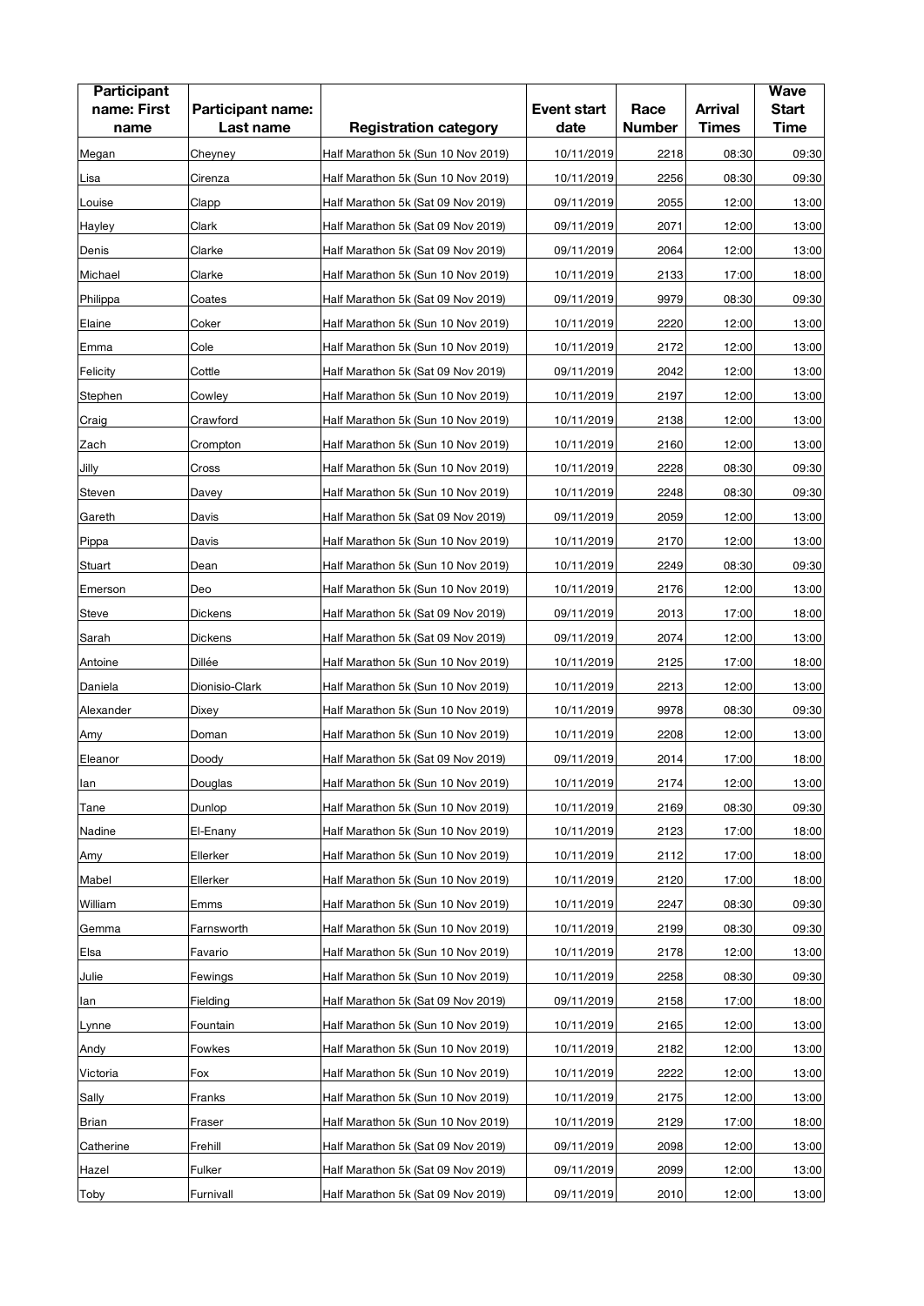| <b>Participant</b><br>name: First<br>name | Participant name:<br>Last name | <b>Registration category</b>                                             | <b>Event start</b><br>date | Race<br><b>Number</b> | <b>Arrival</b><br><b>Times</b> | <b>Wave</b><br><b>Start</b><br><b>Time</b> |
|-------------------------------------------|--------------------------------|--------------------------------------------------------------------------|----------------------------|-----------------------|--------------------------------|--------------------------------------------|
| Megan                                     | Cheyney                        | Half Marathon 5k (Sun 10 Nov 2019)                                       | 10/11/2019                 | 2218                  | 08:30                          | 09:30                                      |
| Lisa                                      | Cirenza                        | Half Marathon 5k (Sun 10 Nov 2019)                                       | 10/11/2019                 | 2256                  | 08:30                          | 09:30                                      |
| Louise                                    | Clapp                          | Half Marathon 5k (Sat 09 Nov 2019)                                       | 09/11/2019                 | 2055                  | 12:00                          | 13:00                                      |
| Hayley                                    | Clark                          | Half Marathon 5k (Sat 09 Nov 2019)                                       | 09/11/2019                 | 2071                  | 12:00                          | 13:00                                      |
| Denis                                     | Clarke                         | Half Marathon 5k (Sat 09 Nov 2019)                                       | 09/11/2019                 | 2064                  | 12:00                          | 13:00                                      |
| Michael                                   | Clarke                         | Half Marathon 5k (Sun 10 Nov 2019)                                       | 10/11/2019                 | 2133                  | 17:00                          | 18:00                                      |
| Philippa                                  | Coates                         | Half Marathon 5k (Sat 09 Nov 2019)                                       | 09/11/2019                 | 9979                  | 08:30                          | 09:30                                      |
| Elaine                                    | Coker                          | Half Marathon 5k (Sun 10 Nov 2019)                                       | 10/11/2019                 | 2220                  | 12:00                          | 13:00                                      |
| Emma                                      | Cole                           | Half Marathon 5k (Sun 10 Nov 2019)                                       | 10/11/2019                 | 2172                  | 12:00                          | 13:00                                      |
| Felicity                                  | Cottle                         | Half Marathon 5k (Sat 09 Nov 2019)                                       | 09/11/2019                 | 2042                  | 12:00                          | 13:00                                      |
|                                           | Cowley                         |                                                                          |                            | 2197                  | 12:00                          | 13:00                                      |
| Stephen                                   |                                | Half Marathon 5k (Sun 10 Nov 2019)<br>Half Marathon 5k (Sun 10 Nov 2019) | 10/11/2019                 | 2138                  | 12:00                          | 13:00                                      |
| Craig                                     | Crawford                       |                                                                          | 10/11/2019                 | 2160                  | 12:00                          | 13:00                                      |
| Zach                                      | Crompton                       | Half Marathon 5k (Sun 10 Nov 2019)                                       | 10/11/2019                 |                       |                                |                                            |
| Jilly                                     | Cross                          | Half Marathon 5k (Sun 10 Nov 2019)                                       | 10/11/2019                 | 2228                  | 08:30                          | 09:30                                      |
| Steven                                    | Davey                          | Half Marathon 5k (Sun 10 Nov 2019)                                       | 10/11/2019                 | 2248                  | 08:30                          | 09:30                                      |
| Gareth                                    | Davis                          | Half Marathon 5k (Sat 09 Nov 2019)                                       | 09/11/2019                 | 2059                  | 12:00                          | 13:00                                      |
| Pippa                                     | Davis                          | Half Marathon 5k (Sun 10 Nov 2019)                                       | 10/11/2019                 | 2170                  | 12:00                          | 13:00                                      |
| Stuart                                    | Dean                           | Half Marathon 5k (Sun 10 Nov 2019)                                       | 10/11/2019                 | 2249                  | 08:30                          | 09:30                                      |
| Emerson                                   | Deo                            | Half Marathon 5k (Sun 10 Nov 2019)                                       | 10/11/2019                 | 2176                  | 12:00                          | 13:00                                      |
| Steve                                     | <b>Dickens</b>                 | Half Marathon 5k (Sat 09 Nov 2019)                                       | 09/11/2019                 | 2013                  | 17:00                          | 18:00                                      |
| Sarah                                     | <b>Dickens</b>                 | Half Marathon 5k (Sat 09 Nov 2019)                                       | 09/11/2019                 | 2074                  | 12:00                          | 13:00                                      |
| Antoine                                   | Dillée                         | Half Marathon 5k (Sun 10 Nov 2019)                                       | 10/11/2019                 | 2125                  | 17:00                          | 18:00                                      |
| Daniela                                   | Dionisio-Clark                 | Half Marathon 5k (Sun 10 Nov 2019)                                       | 10/11/2019                 | 2213                  | 12:00                          | 13:00                                      |
| Alexander                                 | Dixey                          | Half Marathon 5k (Sun 10 Nov 2019)                                       | 10/11/2019                 | 9978                  | 08:30                          | 09:30                                      |
| Amy                                       | Doman                          | Half Marathon 5k (Sun 10 Nov 2019)                                       | 10/11/2019                 | 2208                  | 12:00                          | 13:00                                      |
| Eleanor                                   | Doody                          | Half Marathon 5k (Sat 09 Nov 2019)                                       | 09/11/2019                 | 2014                  | 17:00                          | 18:00                                      |
| lan                                       | Douglas                        | Half Marathon 5k (Sun 10 Nov 2019)                                       | 10/11/2019                 | 2174                  | 12:00                          | 13:00                                      |
| Tane                                      | Dunlop                         | Half Marathon 5k (Sun 10 Nov 2019)                                       | 10/11/2019                 | 2169                  | 08:30                          | 09:30                                      |
| Nadine                                    | El-Enany                       | Half Marathon 5k (Sun 10 Nov 2019)                                       | 10/11/2019                 | 2123                  | 17:00                          | 18:00                                      |
| Amy                                       | Ellerker                       | Half Marathon 5k (Sun 10 Nov 2019)                                       | 10/11/2019                 | 2112                  | 17:00                          | 18:00                                      |
| Mabel                                     | Ellerker                       | Half Marathon 5k (Sun 10 Nov 2019)                                       | 10/11/2019                 | 2120                  | 17:00                          | 18:00                                      |
| William                                   | Emms                           | Half Marathon 5k (Sun 10 Nov 2019)                                       | 10/11/2019                 | 2247                  | 08:30                          | 09:30                                      |
| Gemma                                     | Farnsworth                     | Half Marathon 5k (Sun 10 Nov 2019)                                       | 10/11/2019                 | 2199                  | 08:30                          | 09:30                                      |
| Elsa                                      | Favario                        | Half Marathon 5k (Sun 10 Nov 2019)                                       | 10/11/2019                 | 2178                  | 12:00                          | 13:00                                      |
| Julie                                     | Fewings                        | Half Marathon 5k (Sun 10 Nov 2019)                                       | 10/11/2019                 | 2258                  | 08:30                          | 09:30                                      |
| lan                                       | Fielding                       | Half Marathon 5k (Sat 09 Nov 2019)                                       | 09/11/2019                 | 2158                  | 17:00                          | 18:00                                      |
| Lynne                                     | Fountain                       | Half Marathon 5k (Sun 10 Nov 2019)                                       | 10/11/2019                 | 2165                  | 12:00                          | 13:00                                      |
| Andy                                      | Fowkes                         | Half Marathon 5k (Sun 10 Nov 2019)                                       | 10/11/2019                 | 2182                  | 12:00                          | 13:00                                      |
| Victoria                                  | Fox                            | Half Marathon 5k (Sun 10 Nov 2019)                                       | 10/11/2019                 | 2222                  | 12:00                          | 13:00                                      |
| Sally                                     | Franks                         | Half Marathon 5k (Sun 10 Nov 2019)                                       | 10/11/2019                 | 2175                  | 12:00                          | 13:00                                      |
| Brian                                     | Fraser                         | Half Marathon 5k (Sun 10 Nov 2019)                                       | 10/11/2019                 | 2129                  | 17:00                          | 18:00                                      |
| Catherine                                 | Frehill                        | Half Marathon 5k (Sat 09 Nov 2019)                                       | 09/11/2019                 | 2098                  | 12:00                          | 13:00                                      |
| Hazel                                     | Fulker                         | Half Marathon 5k (Sat 09 Nov 2019)                                       | 09/11/2019                 | 2099                  | 12:00                          | 13:00                                      |
| Toby                                      | Furnivall                      | Half Marathon 5k (Sat 09 Nov 2019)                                       | 09/11/2019                 | 2010                  | 12:00                          | 13:00                                      |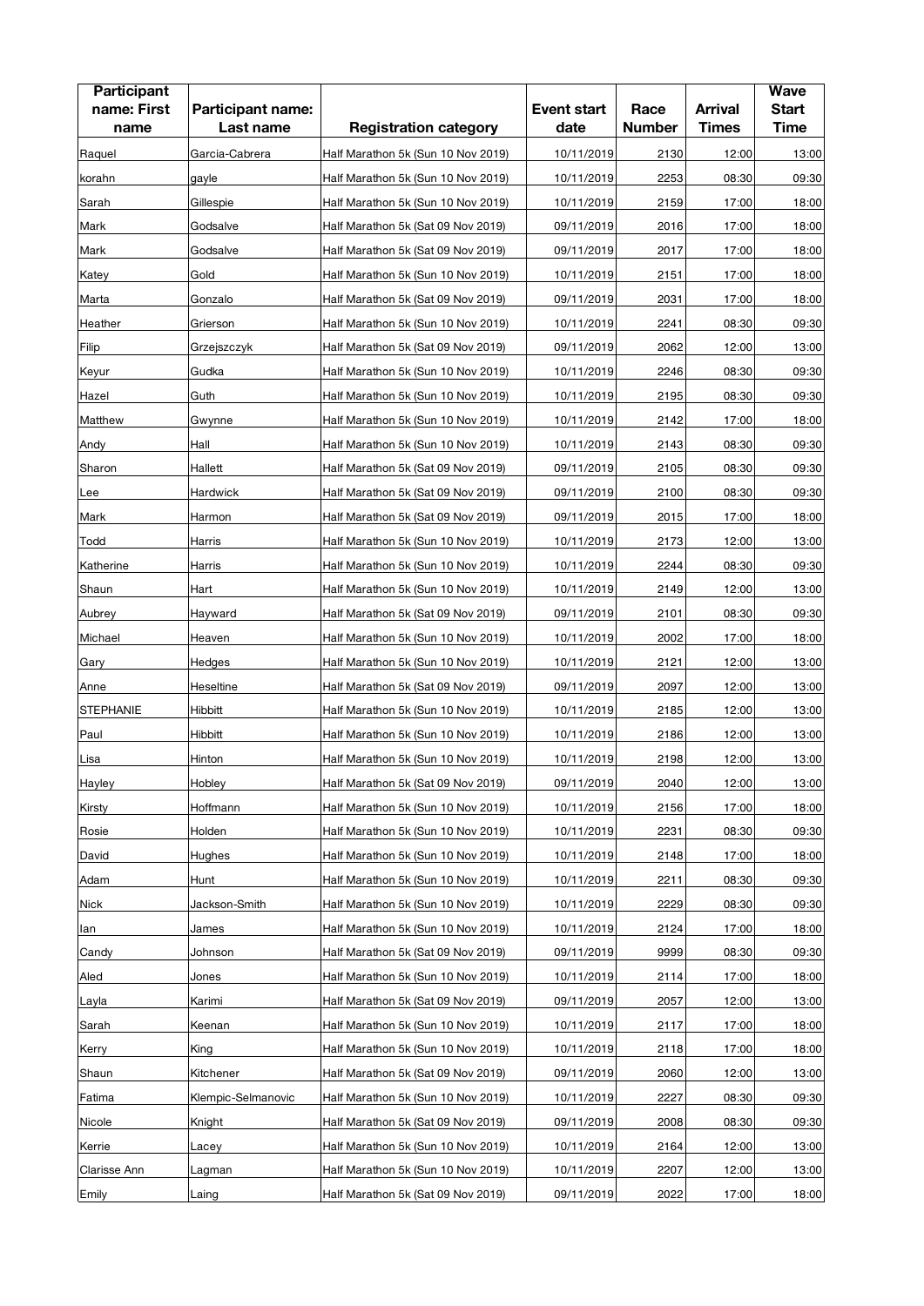| <b>Participant</b>  |                                |                                    |                            |                       |                                | <b>Wave</b>                 |
|---------------------|--------------------------------|------------------------------------|----------------------------|-----------------------|--------------------------------|-----------------------------|
| name: First<br>name | Participant name:<br>Last name | <b>Registration category</b>       | <b>Event start</b><br>date | Race<br><b>Number</b> | <b>Arrival</b><br><b>Times</b> | <b>Start</b><br><b>Time</b> |
|                     |                                |                                    |                            |                       |                                |                             |
| Raquel              | Garcia-Cabrera                 | Half Marathon 5k (Sun 10 Nov 2019) | 10/11/2019                 | 2130                  | 12:00                          | 13:00                       |
| korahn              | gayle                          | Half Marathon 5k (Sun 10 Nov 2019) | 10/11/2019                 | 2253                  | 08:30                          | 09:30                       |
| Sarah               | Gillespie                      | Half Marathon 5k (Sun 10 Nov 2019) | 10/11/2019                 | 2159                  | 17:00                          | 18:00                       |
| Mark                | Godsalve                       | Half Marathon 5k (Sat 09 Nov 2019) | 09/11/2019                 | 2016                  | 17:00                          | 18:00                       |
| Mark                | Godsalve                       | Half Marathon 5k (Sat 09 Nov 2019) | 09/11/2019                 | 2017                  | 17:00                          | 18:00                       |
| Katey               | Gold                           | Half Marathon 5k (Sun 10 Nov 2019) | 10/11/2019                 | 2151                  | 17:00                          | 18:00                       |
| Marta               | Gonzalo                        | Half Marathon 5k (Sat 09 Nov 2019) | 09/11/2019                 | 2031                  | 17:00                          | 18:00                       |
| Heather             | Grierson                       | Half Marathon 5k (Sun 10 Nov 2019) | 10/11/2019                 | 2241                  | 08:30                          | 09:30                       |
| Filip               | Grzejszczyk                    | Half Marathon 5k (Sat 09 Nov 2019) | 09/11/2019                 | 2062                  | 12:00                          | 13:00                       |
| Keyur               | Gudka                          | Half Marathon 5k (Sun 10 Nov 2019) | 10/11/2019                 | 2246                  | 08:30                          | 09:30                       |
| Hazel               | Guth                           | Half Marathon 5k (Sun 10 Nov 2019) | 10/11/2019                 | 2195                  | 08:30                          | 09:30                       |
| Matthew             | Gwynne                         | Half Marathon 5k (Sun 10 Nov 2019) | 10/11/2019                 | 2142                  | 17:00                          | 18:00                       |
| Andy                | Hall                           | Half Marathon 5k (Sun 10 Nov 2019) | 10/11/2019                 | 2143                  | 08:30                          | 09:30                       |
| Sharon              | Hallett                        | Half Marathon 5k (Sat 09 Nov 2019) | 09/11/2019                 | 2105                  | 08:30                          | 09:30                       |
| Lee                 | Hardwick                       | Half Marathon 5k (Sat 09 Nov 2019) | 09/11/2019                 | 2100                  | 08:30                          | 09:30                       |
| Mark                | Harmon                         | Half Marathon 5k (Sat 09 Nov 2019) | 09/11/2019                 | 2015                  | 17:00                          | 18:00                       |
| Todd                | Harris                         | Half Marathon 5k (Sun 10 Nov 2019) | 10/11/2019                 | 2173                  | 12:00                          | 13:00                       |
| Katherine           | Harris                         | Half Marathon 5k (Sun 10 Nov 2019) | 10/11/2019                 | 2244                  | 08:30                          | 09:30                       |
| Shaun               | Hart                           | Half Marathon 5k (Sun 10 Nov 2019) | 10/11/2019                 | 2149                  | 12:00                          | 13:00                       |
| Aubrey              | Hayward                        | Half Marathon 5k (Sat 09 Nov 2019) | 09/11/2019                 | 2101                  | 08:30                          | 09:30                       |
| Michael             | Heaven                         | Half Marathon 5k (Sun 10 Nov 2019) | 10/11/2019                 | 2002                  | 17:00                          | 18:00                       |
| Gary                | Hedges                         | Half Marathon 5k (Sun 10 Nov 2019) | 10/11/2019                 | 2121                  | 12:00                          | 13:00                       |
| Anne                | Heseltine                      | Half Marathon 5k (Sat 09 Nov 2019) | 09/11/2019                 | 2097                  | 12:00                          | 13:00                       |
| <b>STEPHANIE</b>    | Hibbitt                        | Half Marathon 5k (Sun 10 Nov 2019) | 10/11/2019                 | 2185                  | 12:00                          | 13:00                       |
| Paul                | Hibbitt                        | Half Marathon 5k (Sun 10 Nov 2019) | 10/11/2019                 | 2186                  | 12:00                          | 13:00                       |
| Lisa                | Hinton                         | Half Marathon 5k (Sun 10 Nov 2019) | 10/11/2019                 | 2198                  | 12:00                          | 13:00                       |
| Hayley              | Hobley                         | Half Marathon 5k (Sat 09 Nov 2019) | 09/11/2019                 | 2040                  | 12:00                          | 13:00                       |
| Kirsty              | Hoffmann                       | Half Marathon 5k (Sun 10 Nov 2019) | 10/11/2019                 | 2156                  | 17:00                          | 18:00                       |
| Rosie               | Holden                         | Half Marathon 5k (Sun 10 Nov 2019) | 10/11/2019                 | 2231                  | 08:30                          | 09:30                       |
| David               | Hughes                         | Half Marathon 5k (Sun 10 Nov 2019) | 10/11/2019                 | 2148                  | 17:00                          | 18:00                       |
| Adam                | Hunt                           | Half Marathon 5k (Sun 10 Nov 2019) | 10/11/2019                 | 2211                  | 08:30                          | 09:30                       |
| Nick                | Jackson-Smith                  | Half Marathon 5k (Sun 10 Nov 2019) | 10/11/2019                 | 2229                  | 08:30                          | 09:30                       |
| lan                 | James                          | Half Marathon 5k (Sun 10 Nov 2019) | 10/11/2019                 | 2124                  | 17:00                          | 18:00                       |
| Candy               | Johnson                        | Half Marathon 5k (Sat 09 Nov 2019) | 09/11/2019                 | 9999                  | 08:30                          | 09:30                       |
|                     |                                |                                    |                            |                       |                                |                             |
| Aled                | Jones                          | Half Marathon 5k (Sun 10 Nov 2019) | 10/11/2019                 | 2114                  | 17:00                          | 18:00                       |
| Layla               | Karimi                         | Half Marathon 5k (Sat 09 Nov 2019) | 09/11/2019                 | 2057                  | 12:00                          | 13:00                       |
| Sarah               | Keenan                         | Half Marathon 5k (Sun 10 Nov 2019) | 10/11/2019                 | 2117                  | 17:00                          | 18:00                       |
| Kerry               | King                           | Half Marathon 5k (Sun 10 Nov 2019) | 10/11/2019                 | 2118                  | 17:00                          | 18:00                       |
| Shaun               | Kitchener                      | Half Marathon 5k (Sat 09 Nov 2019) | 09/11/2019                 | 2060                  | 12:00                          | 13:00                       |
| Fatima              | Klempic-Selmanovic             | Half Marathon 5k (Sun 10 Nov 2019) | 10/11/2019                 | 2227                  | 08:30                          | 09:30                       |
| Nicole              | Knight                         | Half Marathon 5k (Sat 09 Nov 2019) | 09/11/2019                 | 2008                  | 08:30                          | 09:30                       |
| Kerrie              | Lacey                          | Half Marathon 5k (Sun 10 Nov 2019) | 10/11/2019                 | 2164                  | 12:00                          | 13:00                       |
| Clarisse Ann        | Lagman                         | Half Marathon 5k (Sun 10 Nov 2019) | 10/11/2019                 | 2207                  | 12:00                          | 13:00                       |
| Emily               | Laing                          | Half Marathon 5k (Sat 09 Nov 2019) | 09/11/2019                 | 2022                  | 17:00                          | 18:00                       |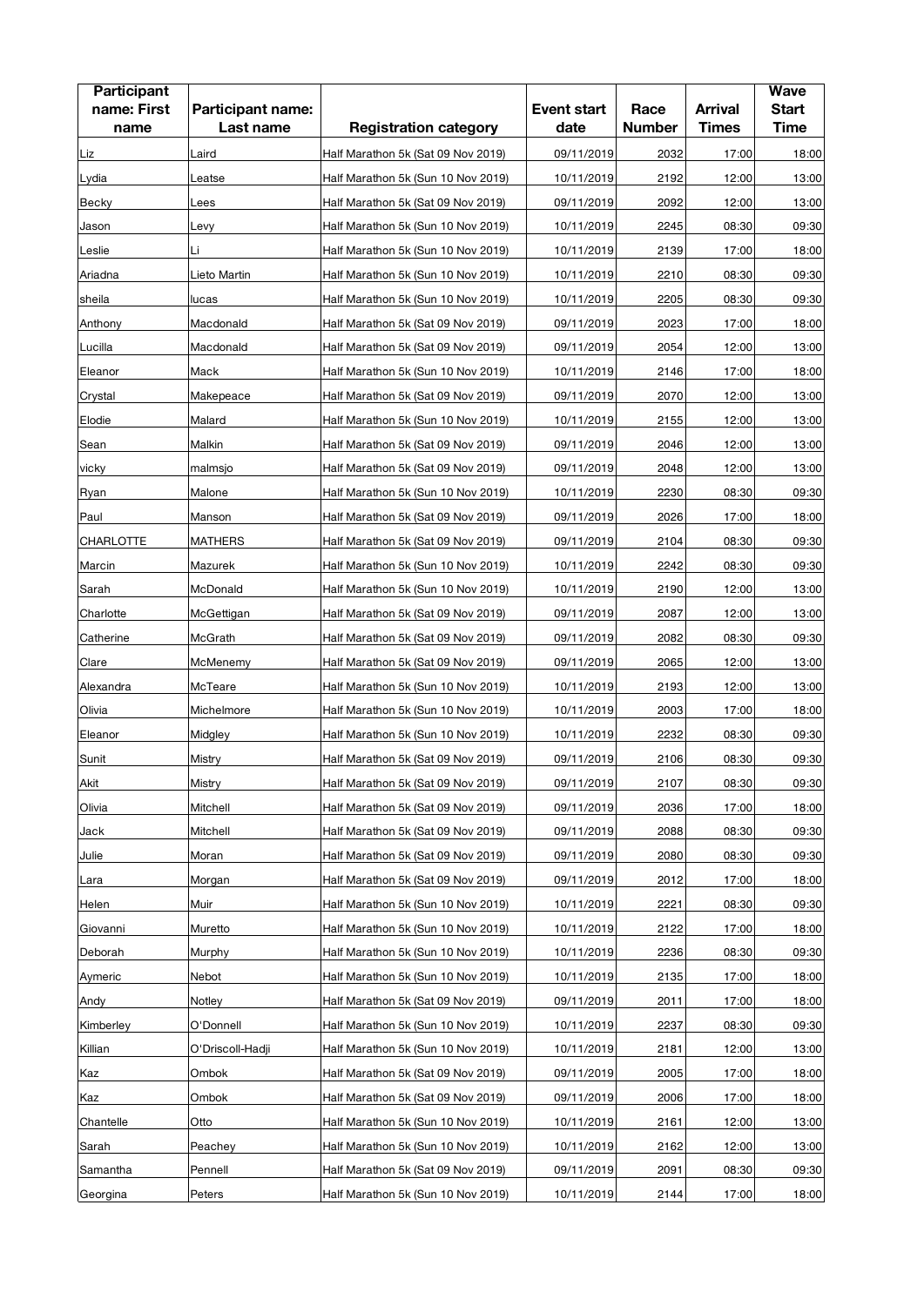| <b>Participant</b> |                   |                                    |                    |               |                | <b>Wave</b>  |
|--------------------|-------------------|------------------------------------|--------------------|---------------|----------------|--------------|
| name: First        | Participant name: |                                    | <b>Event start</b> | Race          | <b>Arrival</b> | <b>Start</b> |
| name               | Last name         | <b>Registration category</b>       | date               | <b>Number</b> | <b>Times</b>   | <b>Time</b>  |
| Liz                | Laird             | Half Marathon 5k (Sat 09 Nov 2019) | 09/11/2019         | 2032          | 17:00          | 18:00        |
| Lydia              | Leatse            | Half Marathon 5k (Sun 10 Nov 2019) | 10/11/2019         | 2192          | 12:00          | 13:00        |
| Becky              | Lees              | Half Marathon 5k (Sat 09 Nov 2019) | 09/11/2019         | 2092          | 12:00          | 13:00        |
| Jason              | Levy              | Half Marathon 5k (Sun 10 Nov 2019) | 10/11/2019         | 2245          | 08:30          | 09:30        |
| Leslie             | Li                | Half Marathon 5k (Sun 10 Nov 2019) | 10/11/2019         | 2139          | 17:00          | 18:00        |
| Ariadna            | Lieto Martin      | Half Marathon 5k (Sun 10 Nov 2019) | 10/11/2019         | 2210          | 08:30          | 09:30        |
| sheila             | lucas             | Half Marathon 5k (Sun 10 Nov 2019) | 10/11/2019         | 2205          | 08:30          | 09:30        |
| Anthony            | Macdonald         | Half Marathon 5k (Sat 09 Nov 2019) | 09/11/2019         | 2023          | 17:00          | 18:00        |
| Lucilla            | Macdonald         | Half Marathon 5k (Sat 09 Nov 2019) | 09/11/2019         | 2054          | 12:00          | 13:00        |
| Eleanor            | Mack              | Half Marathon 5k (Sun 10 Nov 2019) | 10/11/2019         | 2146          | 17:00          | 18:00        |
| Crystal            | Makepeace         | Half Marathon 5k (Sat 09 Nov 2019) | 09/11/2019         | 2070          | 12:00          | 13:00        |
| Elodie             | Malard            | Half Marathon 5k (Sun 10 Nov 2019) | 10/11/2019         | 2155          | 12:00          | 13:00        |
| Sean               | Malkin            | Half Marathon 5k (Sat 09 Nov 2019) | 09/11/2019         | 2046          | 12:00          | 13:00        |
| vicky              | malmsjo           | Half Marathon 5k (Sat 09 Nov 2019) | 09/11/2019         | 2048          | 12:00          | 13:00        |
| Ryan               | Malone            | Half Marathon 5k (Sun 10 Nov 2019) | 10/11/2019         | 2230          | 08:30          | 09:30        |
| Paul               | Manson            | Half Marathon 5k (Sat 09 Nov 2019) | 09/11/2019         | 2026          | 17:00          | 18:00        |
| CHARLOTTE          | <b>MATHERS</b>    | Half Marathon 5k (Sat 09 Nov 2019) | 09/11/2019         | 2104          | 08:30          | 09:30        |
| Marcin             | Mazurek           | Half Marathon 5k (Sun 10 Nov 2019) | 10/11/2019         | 2242          | 08:30          | 09:30        |
| Sarah              | McDonald          | Half Marathon 5k (Sun 10 Nov 2019) | 10/11/2019         | 2190          | 12:00          | 13:00        |
| Charlotte          | McGettigan        | Half Marathon 5k (Sat 09 Nov 2019) | 09/11/2019         | 2087          | 12:00          | 13:00        |
| Catherine          | McGrath           | Half Marathon 5k (Sat 09 Nov 2019) | 09/11/2019         | 2082          | 08:30          | 09:30        |
| Clare              | McMenemy          | Half Marathon 5k (Sat 09 Nov 2019) | 09/11/2019         | 2065          | 12:00          | 13:00        |
| Alexandra          | McTeare           | Half Marathon 5k (Sun 10 Nov 2019) | 10/11/2019         | 2193          | 12:00          | 13:00        |
| Olivia             | Michelmore        | Half Marathon 5k (Sun 10 Nov 2019) | 10/11/2019         | 2003          | 17:00          | 18:00        |
| Eleanor            | Midgley           | Half Marathon 5k (Sun 10 Nov 2019) | 10/11/2019         | 2232          | 08:30          | 09:30        |
| Sunit              | Mistry            | Half Marathon 5k (Sat 09 Nov 2019) | 09/11/2019         | 2106          | 08:30          | 09:30        |
| Akit               | Mistry            | Half Marathon 5k (Sat 09 Nov 2019) | 09/11/2019         | 2107          | 08:30          | 09:30        |
| Olivia             | Mitchell          | Half Marathon 5k (Sat 09 Nov 2019) | 09/11/2019         | 2036          | 17:00          | 18:00        |
| Jack               | Mitchell          | Half Marathon 5k (Sat 09 Nov 2019) | 09/11/2019         | 2088          | 08:30          | 09:30        |
| Julie              | Moran             | Half Marathon 5k (Sat 09 Nov 2019) | 09/11/2019         | 2080          | 08:30          | 09:30        |
| Lara               | Morgan            | Half Marathon 5k (Sat 09 Nov 2019) | 09/11/2019         | 2012          | 17:00          | 18:00        |
| Helen              | Muir              | Half Marathon 5k (Sun 10 Nov 2019) | 10/11/2019         | 2221          | 08:30          | 09:30        |
| Giovanni           | Muretto           | Half Marathon 5k (Sun 10 Nov 2019) | 10/11/2019         | 2122          | 17:00          | 18:00        |
| Deborah            | Murphy            | Half Marathon 5k (Sun 10 Nov 2019) | 10/11/2019         | 2236          | 08:30          | 09:30        |
| Aymeric            | Nebot             | Half Marathon 5k (Sun 10 Nov 2019) | 10/11/2019         | 2135          | 17:00          | 18:00        |
| Andy               | Notley            | Half Marathon 5k (Sat 09 Nov 2019) | 09/11/2019         | 2011          | 17:00          | 18:00        |
| Kimberley          | O'Donnell         | Half Marathon 5k (Sun 10 Nov 2019) | 10/11/2019         | 2237          | 08:30          | 09:30        |
| Killian            | O'Driscoll-Hadji  | Half Marathon 5k (Sun 10 Nov 2019) | 10/11/2019         | 2181          | 12:00          | 13:00        |
| Kaz                | Ombok             | Half Marathon 5k (Sat 09 Nov 2019) | 09/11/2019         | 2005          | 17:00          | 18:00        |
| Kaz                | Ombok             | Half Marathon 5k (Sat 09 Nov 2019) | 09/11/2019         | 2006          | 17:00          | 18:00        |
| Chantelle          | Otto              | Half Marathon 5k (Sun 10 Nov 2019) | 10/11/2019         | 2161          | 12:00          | 13:00        |
| Sarah              | Peachey           | Half Marathon 5k (Sun 10 Nov 2019) | 10/11/2019         | 2162          | 12:00          | 13:00        |
| Samantha           | Pennell           | Half Marathon 5k (Sat 09 Nov 2019) | 09/11/2019         | 2091          | 08:30          | 09:30        |
| Georgina           | Peters            | Half Marathon 5k (Sun 10 Nov 2019) | 10/11/2019         | 2144          | 17:00          | 18:00        |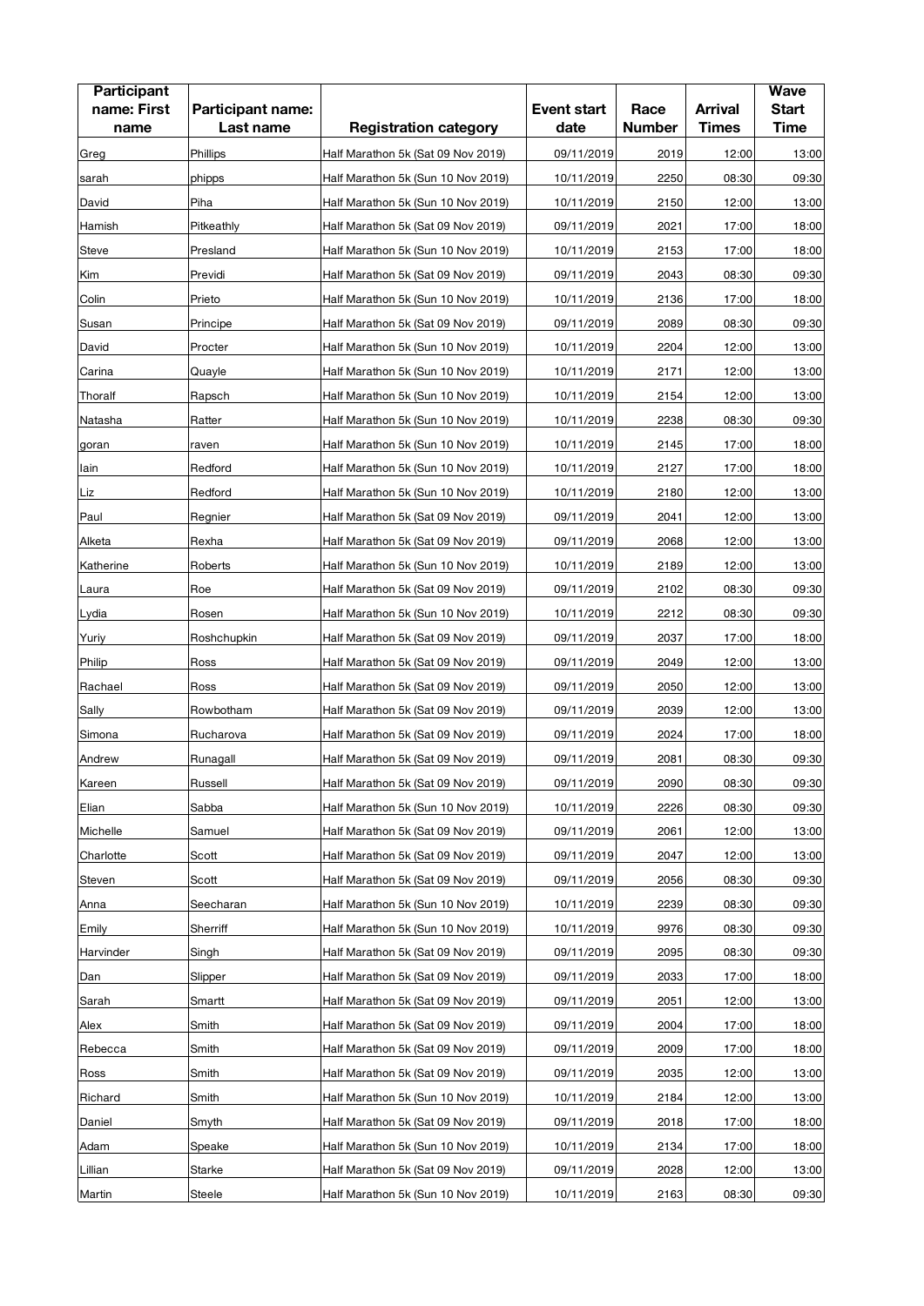| <b>Participant</b><br>name: First<br>name | Participant name:<br>Last name | <b>Registration category</b>       | <b>Event start</b><br>date | Race<br><b>Number</b> | <b>Arrival</b><br><b>Times</b> | <b>Wave</b><br><b>Start</b><br><b>Time</b> |
|-------------------------------------------|--------------------------------|------------------------------------|----------------------------|-----------------------|--------------------------------|--------------------------------------------|
| Greg                                      | Phillips                       | Half Marathon 5k (Sat 09 Nov 2019) | 09/11/2019                 | 2019                  | 12:00                          | 13:00                                      |
| sarah                                     | phipps                         | Half Marathon 5k (Sun 10 Nov 2019) | 10/11/2019                 | 2250                  | 08:30                          | 09:30                                      |
| David                                     | Piha                           | Half Marathon 5k (Sun 10 Nov 2019) | 10/11/2019                 | 2150                  | 12:00                          | 13:00                                      |
| Hamish                                    | Pitkeathly                     | Half Marathon 5k (Sat 09 Nov 2019) | 09/11/2019                 | 2021                  | 17:00                          | 18:00                                      |
| Steve                                     | Presland                       | Half Marathon 5k (Sun 10 Nov 2019) | 10/11/2019                 | 2153                  | 17:00                          | 18:00                                      |
| Kim                                       | Previdi                        | Half Marathon 5k (Sat 09 Nov 2019) | 09/11/2019                 | 2043                  | 08:30                          | 09:30                                      |
| Colin                                     | Prieto                         | Half Marathon 5k (Sun 10 Nov 2019) | 10/11/2019                 | 2136                  | 17:00                          | 18:00                                      |
| Susan                                     | Principe                       | Half Marathon 5k (Sat 09 Nov 2019) | 09/11/2019                 | 2089                  | 08:30                          | 09:30                                      |
| David                                     | Procter                        | Half Marathon 5k (Sun 10 Nov 2019) | 10/11/2019                 | 2204                  | 12:00                          | 13:00                                      |
| Carina                                    | Quayle                         | Half Marathon 5k (Sun 10 Nov 2019) | 10/11/2019                 | 2171                  | 12:00                          | 13:00                                      |
|                                           |                                |                                    |                            | 2154                  | 12:00                          | 13:00                                      |
| Thoralf                                   | Rapsch                         | Half Marathon 5k (Sun 10 Nov 2019) | 10/11/2019                 |                       |                                |                                            |
| Natasha                                   | Ratter                         | Half Marathon 5k (Sun 10 Nov 2019) | 10/11/2019                 | 2238                  | 08:30                          | 09:30                                      |
| goran                                     | raven                          | Half Marathon 5k (Sun 10 Nov 2019) | 10/11/2019                 | 2145                  | 17:00                          | 18:00                                      |
| lain                                      | Redford                        | Half Marathon 5k (Sun 10 Nov 2019) | 10/11/2019                 | 2127                  | 17:00                          | 18:00                                      |
| Liz                                       | Redford                        | Half Marathon 5k (Sun 10 Nov 2019) | 10/11/2019                 | 2180                  | 12:00                          | 13:00                                      |
| Paul                                      | Regnier                        | Half Marathon 5k (Sat 09 Nov 2019) | 09/11/2019                 | 2041                  | 12:00                          | 13:00                                      |
| Alketa                                    | Rexha                          | Half Marathon 5k (Sat 09 Nov 2019) | 09/11/2019                 | 2068                  | 12:00                          | 13:00                                      |
| Katherine                                 | Roberts                        | Half Marathon 5k (Sun 10 Nov 2019) | 10/11/2019                 | 2189                  | 12:00                          | 13:00                                      |
| Laura                                     | Roe                            | Half Marathon 5k (Sat 09 Nov 2019) | 09/11/2019                 | 2102                  | 08:30                          | 09:30                                      |
| Lydia                                     | Rosen                          | Half Marathon 5k (Sun 10 Nov 2019) | 10/11/2019                 | 2212                  | 08:30                          | 09:30                                      |
| Yuriy                                     | Roshchupkin                    | Half Marathon 5k (Sat 09 Nov 2019) | 09/11/2019                 | 2037                  | 17:00                          | 18:00                                      |
| Philip                                    | Ross                           | Half Marathon 5k (Sat 09 Nov 2019) | 09/11/2019                 | 2049                  | 12:00                          | 13:00                                      |
| Rachael                                   | Ross                           | Half Marathon 5k (Sat 09 Nov 2019) | 09/11/2019                 | 2050                  | 12:00                          | 13:00                                      |
| Sally                                     | Rowbotham                      | Half Marathon 5k (Sat 09 Nov 2019) | 09/11/2019                 | 2039                  | 12:00                          | 13:00                                      |
| Simona                                    | Rucharova                      | Half Marathon 5k (Sat 09 Nov 2019) | 09/11/2019                 | 2024                  | 17:00                          | 18:00                                      |
| Andrew                                    | Runagall                       | Half Marathon 5k (Sat 09 Nov 2019) | 09/11/2019                 | 2081                  | 08:30                          | 09:30                                      |
| Kareen                                    | Russell                        | Half Marathon 5k (Sat 09 Nov 2019) | 09/11/2019                 | 2090                  | 08:30                          | 09:30                                      |
| Elian                                     | Sabba                          | Half Marathon 5k (Sun 10 Nov 2019) | 10/11/2019                 | 2226                  | 08:30                          | 09:30                                      |
| Michelle                                  | Samuel                         | Half Marathon 5k (Sat 09 Nov 2019) | 09/11/2019                 | 2061                  | 12:00                          | 13:00                                      |
| Charlotte                                 | Scott                          | Half Marathon 5k (Sat 09 Nov 2019) | 09/11/2019                 | 2047                  | 12:00                          | 13:00                                      |
| Steven                                    | Scott                          | Half Marathon 5k (Sat 09 Nov 2019) | 09/11/2019                 | 2056                  | 08:30                          | 09:30                                      |
| Anna                                      | Seecharan                      | Half Marathon 5k (Sun 10 Nov 2019) | 10/11/2019                 | 2239                  | 08:30                          | 09:30                                      |
| Emily                                     | Sherriff                       | Half Marathon 5k (Sun 10 Nov 2019) | 10/11/2019                 | 9976                  | 08:30                          | 09:30                                      |
| Harvinder                                 | Singh                          | Half Marathon 5k (Sat 09 Nov 2019) | 09/11/2019                 | 2095                  | 08:30                          | 09:30                                      |
| Dan                                       | Slipper                        | Half Marathon 5k (Sat 09 Nov 2019) | 09/11/2019                 | 2033                  | 17:00                          | 18:00                                      |
| Sarah                                     | Smartt                         | Half Marathon 5k (Sat 09 Nov 2019) | 09/11/2019                 | 2051                  | 12:00                          | 13:00                                      |
| Alex                                      | Smith                          | Half Marathon 5k (Sat 09 Nov 2019) | 09/11/2019                 | 2004                  | 17:00                          | 18:00                                      |
| Rebecca                                   | Smith                          | Half Marathon 5k (Sat 09 Nov 2019) | 09/11/2019                 | 2009                  | 17:00                          | 18:00                                      |
| Ross                                      | Smith                          | Half Marathon 5k (Sat 09 Nov 2019) | 09/11/2019                 | 2035                  | 12:00                          | 13:00                                      |
| Richard                                   | Smith                          | Half Marathon 5k (Sun 10 Nov 2019) | 10/11/2019                 | 2184                  | 12:00                          | 13:00                                      |
| Daniel                                    | Smyth                          | Half Marathon 5k (Sat 09 Nov 2019) | 09/11/2019                 | 2018                  | 17:00                          | 18:00                                      |
| Adam                                      | Speake                         | Half Marathon 5k (Sun 10 Nov 2019) | 10/11/2019                 | 2134                  | 17:00                          | 18:00                                      |
| Lillian                                   | Starke                         | Half Marathon 5k (Sat 09 Nov 2019) | 09/11/2019                 | 2028                  | 12:00                          | 13:00                                      |
| Martin                                    | Steele                         | Half Marathon 5k (Sun 10 Nov 2019) | 10/11/2019                 | 2163                  | 08:30                          | 09:30                                      |